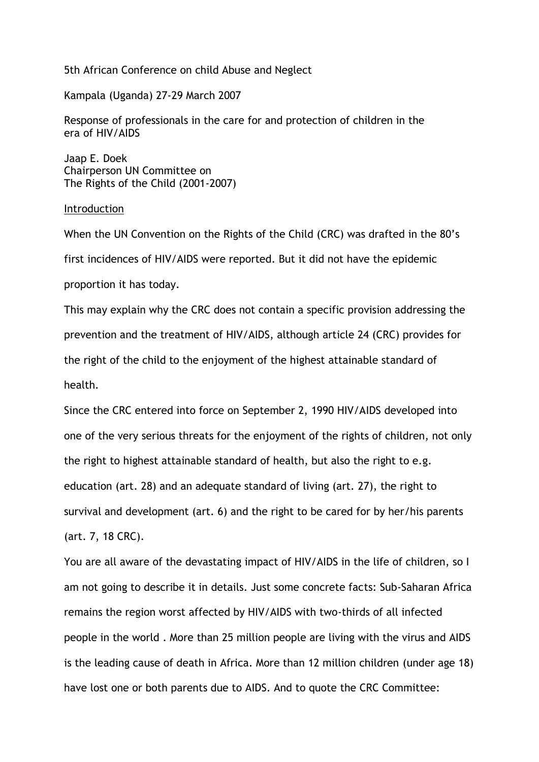5th African Conference on child Abuse and Neglect

Kampala (Uganda) 27-29 March 2007

Response of professionals in the care for and protection of children in the era of HIV/AIDS

Jaap E. Doek Chairperson UN Committee on The Rights of the Child (2001-2007)

Introduction

When the UN Convention on the Rights of the Child (CRC) was drafted in the 80's first incidences of HIV/AIDS were reported. But it did not have the epidemic proportion it has today. This may explain why the CRC does not contain a specific provision addressing the prevention and the treatment of HIV/AIDS, although article 24 (CRC) provides for

the right of the child to the enjoyment of the highest attainable standard of health.

Since the CRC entered into force on September 2, 1990 HIV/AIDS developed into one of the very serious threats for the enjoyment of the rights of children, not only the right to highest attainable standard of health, but also the right to e.g. education (art. 28) and an adequate standard of living (art. 27), the right to survival and development (art. 6) and the right to be cared for by her/his parents (art. 7, 18 CRC).

You are all aware of the devastating impact of HIV/AIDS in the life of children, so I am not going to describe it in details. Just some concrete facts: Sub-Saharan Africa remains the region worst affected by HIV/AIDS with two-thirds of all infected people in the world . More than 25 million people are living with the virus and AIDS is the leading cause of death in Africa. More than 12 million children (under age 18) have lost one or both parents due to AIDS. And to quote the CRC Committee: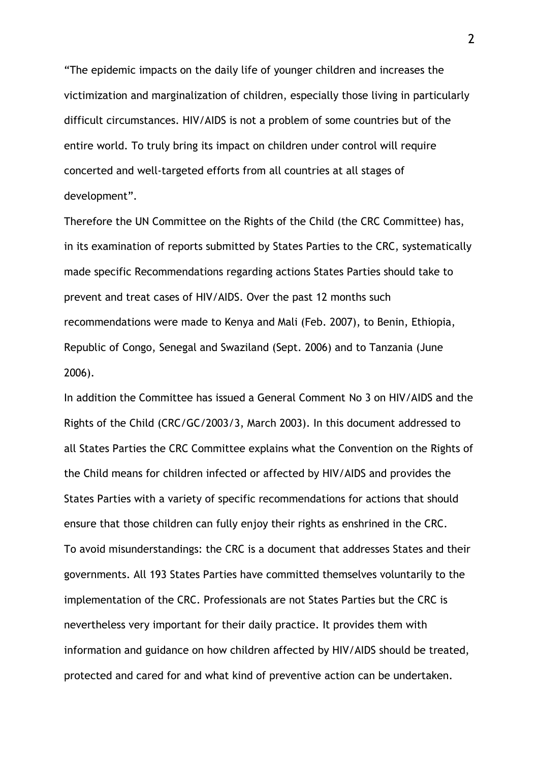"The epidemic impacts on the daily life of younger children and increases the victimization and marginalization of children, especially those living in particularly difficult circumstances. HIV/AIDS is not a problem of some countries but of the entire world. To truly bring its impact on children under control will require concerted and well-targeted efforts from all countries at all stages of development".

Therefore the UN Committee on the Rights of the Child (the CRC Committee) has, in its examination of reports submitted by States Parties to the CRC, systematically made specific Recommendations regarding actions States Parties should take to prevent and treat cases of HIV/AIDS. Over the past 12 months such recommendations were made to Kenya and Mali (Feb. 2007), to Benin, Ethiopia, Republic of Congo, Senegal and Swaziland (Sept. 2006) and to Tanzania (June 2006).

In addition the Committee has issued a General Comment No 3 on HIV/AIDS and the Rights of the Child (CRC/GC/2003/3, March 2003). In this document addressed to all States Parties the CRC Committee explains what the Convention on the Rights of the Child means for children infected or affected by HIV/AIDS and provides the States Parties with a variety of specific recommendations for actions that should ensure that those children can fully enjoy their rights as enshrined in the CRC. To avoid misunderstandings: the CRC is a document that addresses States and their governments. All 193 States Parties have committed themselves voluntarily to the implementation of the CRC. Professionals are not States Parties but the CRC is nevertheless very important for their daily practice. It provides them with information and guidance on how children affected by HIV/AIDS should be treated, protected and cared for and what kind of preventive action can be undertaken.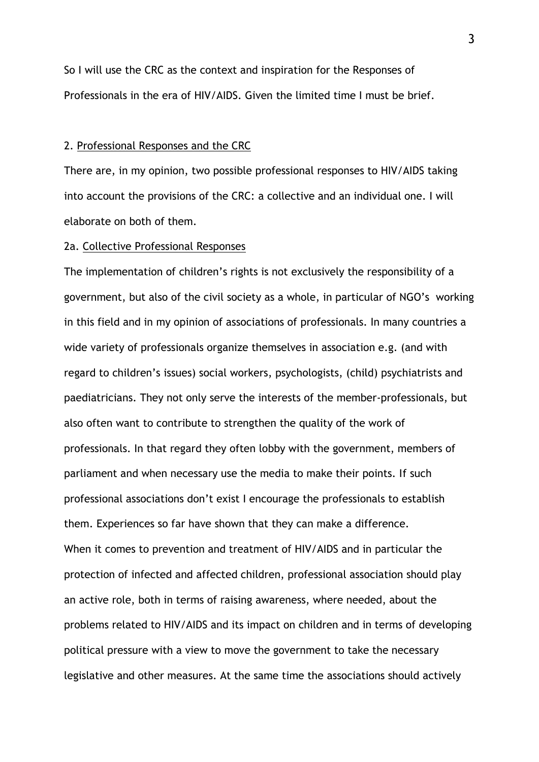So I will use the CRC as the context and inspiration for the Responses of Professionals in the era of HIV/AIDS. Given the limited time I must be brief.

## 2. Professional Responses and the CRC

There are, in my opinion, two possible professional responses to HIV/AIDS taking into account the provisions of the CRC: a collective and an individual one. I will elaborate on both of them.

## 2a. Collective Professional Responses

The implementation of children's rights is not exclusively the responsibility of a government, but also of the civil society as a whole, in particular of NGO's working in this field and in my opinion of associations of professionals. In many countries a wide variety of professionals organize themselves in association e.g. (and with regard to children's issues) social workers, psychologists, (child) psychiatrists and paediatricians. They not only serve the interests of the member-professionals, but also often want to contribute to strengthen the quality of the work of professionals. In that regard they often lobby with the government, members of parliament and when necessary use the media to make their points. If such professional associations don't exist I encourage the professionals to establish them. Experiences so far have shown that they can make a difference. When it comes to prevention and treatment of HIV/AIDS and in particular the protection of infected and affected children, professional association should play an active role, both in terms of raising awareness, where needed, about the problems related to HIV/AIDS and its impact on children and in terms of developing political pressure with a view to move the government to take the necessary legislative and other measures. At the same time the associations should actively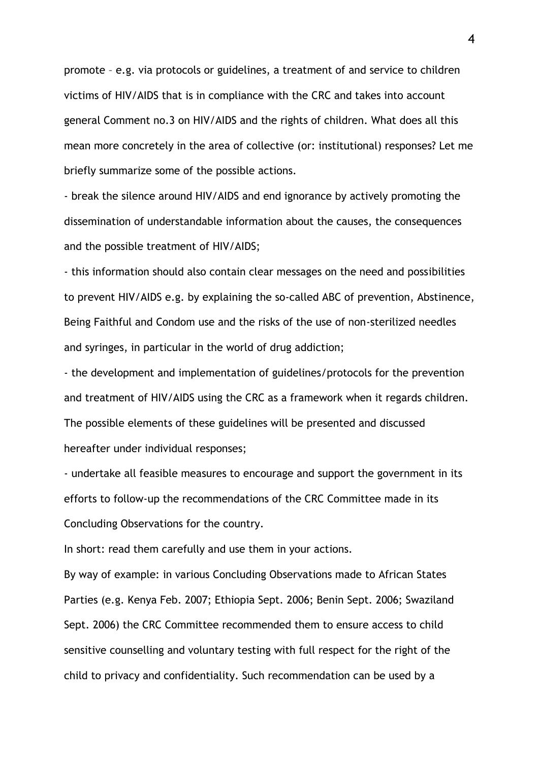promote – e.g. via protocols or guidelines, a treatment of and service to children victims of HIV/AIDS that is in compliance with the CRC and takes into account general Comment no.3 on HIV/AIDS and the rights of children. What does all this mean more concretely in the area of collective (or: institutional) responses? Let me briefly summarize some of the possible actions.

- break the silence around HIV/AIDS and end ignorance by actively promoting the dissemination of understandable information about the causes, the consequences and the possible treatment of HIV/AIDS;

- this information should also contain clear messages on the need and possibilities to prevent HIV/AIDS e.g. by explaining the so-called ABC of prevention, Abstinence, Being Faithful and Condom use and the risks of the use of non-sterilized needles and syringes, in particular in the world of drug addiction;

- the development and implementation of guidelines/protocols for the prevention and treatment of HIV/AIDS using the CRC as a framework when it regards children. The possible elements of these guidelines will be presented and discussed hereafter under individual responses;

- undertake all feasible measures to encourage and support the government in its efforts to follow-up the recommendations of the CRC Committee made in its Concluding Observations for the country.

In short: read them carefully and use them in your actions.

By way of example: in various Concluding Observations made to African States Parties (e.g. Kenya Feb. 2007; Ethiopia Sept. 2006; Benin Sept. 2006; Swaziland Sept. 2006) the CRC Committee recommended them to ensure access to child sensitive counselling and voluntary testing with full respect for the right of the child to privacy and confidentiality. Such recommendation can be used by a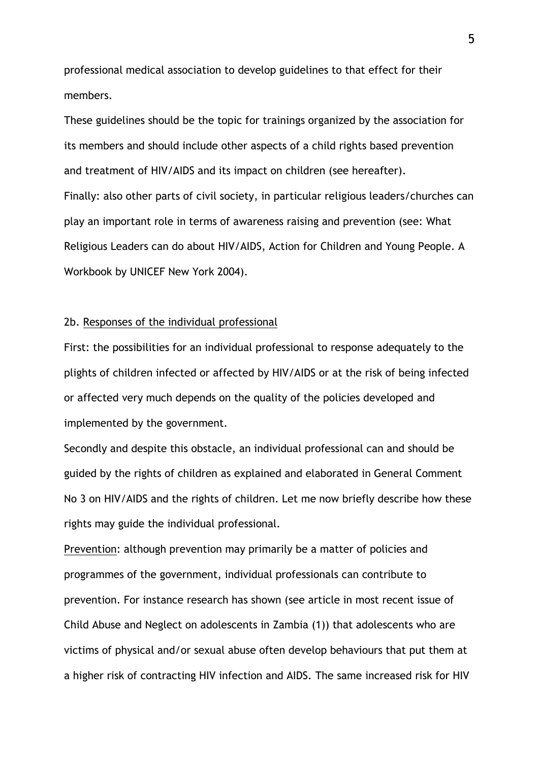professional medical association to develop guidelines to that effect for their members.

These guidelines should be the topic for trainings organized by the association for its members and should include other aspects of a child rights based prevention and treatment of HIV/AIDS and its impact on children (see hereafter). Finally: also other parts of civil society, in particular religious leaders/churches can play an important role in terms of awareness raising and prevention (see: What Religious Leaders can do about HIV/AIDS, Action for Children and Young People. A Workbook by UNICEF New York 2004).

## 2b. Responses of the individual professional

First: the possibilities for an individual professional to response adequately to the plights of children infected or affected by HIV/AIDS or at the risk of being infected or affected very much depends on the quality of the policies developed and implemented by the government.

Secondly and despite this obstacle, an individual professional can and should be guided by the rights of children as explained and elaborated in General Comment No 3 on HIV/AIDS and the rights of children. Let me now briefly describe how these rights may guide the individual professional.

Prevention: although prevention may primarily be a matter of policies and programmes of the government, individual professionals can contribute to prevention. For instance research has shown (see article in most recent issue of Child Abuse and Neglect on adolescents in Zambia (1)) that adolescents who are victims of physical and/or sexual abuse often develop behaviours that put them at a higher risk of contracting HIV infection and AIDS. The same increased risk for HIV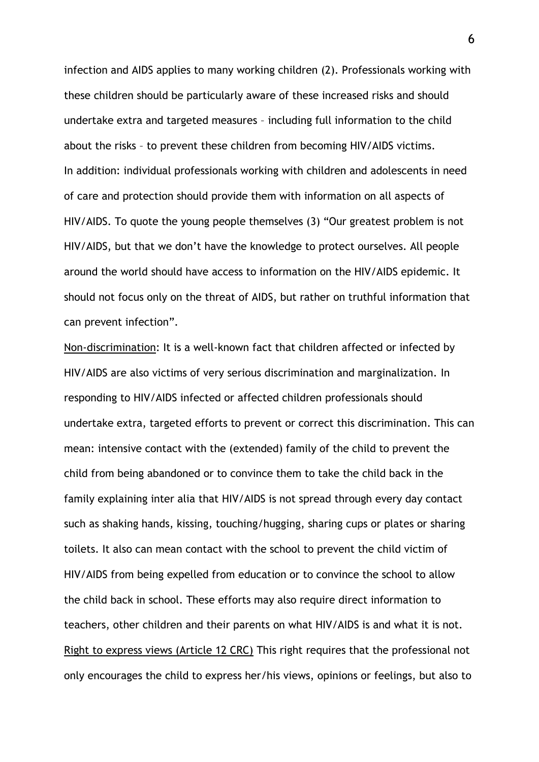infection and AIDS applies to many working children (2). Professionals working with these children should be particularly aware of these increased risks and should undertake extra and targeted measures – including full information to the child about the risks – to prevent these children from becoming HIV/AIDS victims. In addition: individual professionals working with children and adolescents in need of care and protection should provide them with information on all aspects of HIV/AIDS. To quote the young people themselves (3) "Our greatest problem is not HIV/AIDS, but that we don't have the knowledge to protect ourselves. All people around the world should have access to information on the HIV/AIDS epidemic. It should not focus only on the threat of AIDS, but rather on truthful information that can prevent infection".

Non-discrimination: It is a well-known fact that children affected or infected by HIV/AIDS are also victims of very serious discrimination and marginalization. In responding to HIV/AIDS infected or affected children professionals should undertake extra, targeted efforts to prevent or correct this discrimination. This can mean: intensive contact with the (extended) family of the child to prevent the child from being abandoned or to convince them to take the child back in the family explaining inter alia that HIV/AIDS is not spread through every day contact such as shaking hands, kissing, touching/hugging, sharing cups or plates or sharing toilets. It also can mean contact with the school to prevent the child victim of HIV/AIDS from being expelled from education or to convince the school to allow the child back in school. These efforts may also require direct information to teachers, other children and their parents on what HIV/AIDS is and what it is not. Right to express views (Article 12 CRC) This right requires that the professional not only encourages the child to express her/his views, opinions or feelings, but also to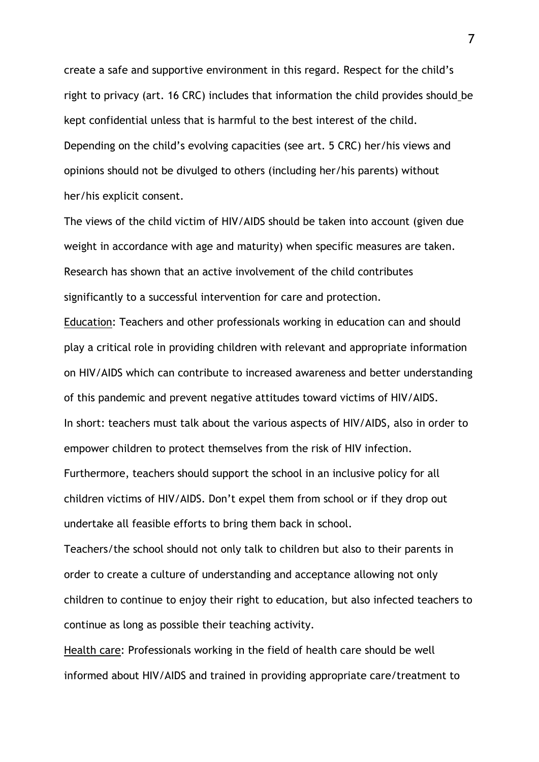create a safe and supportive environment in this regard. Respect for the child's right to privacy (art. 16 CRC) includes that information the child provides should be kept confidential unless that is harmful to the best interest of the child. Depending on the child's evolving capacities (see art. 5 CRC) her/his views and opinions should not be divulged to others (including her/his parents) without her/his explicit consent.

The views of the child victim of HIV/AIDS should be taken into account (given due weight in accordance with age and maturity) when specific measures are taken. Research has shown that an active involvement of the child contributes significantly to a successful intervention for care and protection.

Education: Teachers and other professionals working in education can and should play a critical role in providing children with relevant and appropriate information on HIV/AIDS which can contribute to increased awareness and better understanding of this pandemic and prevent negative attitudes toward victims of HIV/AIDS. In short: teachers must talk about the various aspects of HIV/AIDS, also in order to empower children to protect themselves from the risk of HIV infection. Furthermore, teachers should support the school in an inclusive policy for all children victims of HIV/AIDS. Don't expel them from school or if they drop out undertake all feasible efforts to bring them back in school.

Teachers/the school should not only talk to children but also to their parents in order to create a culture of understanding and acceptance allowing not only children to continue to enjoy their right to education, but also infected teachers to continue as long as possible their teaching activity.

Health care: Professionals working in the field of health care should be well informed about HIV/AIDS and trained in providing appropriate care/treatment to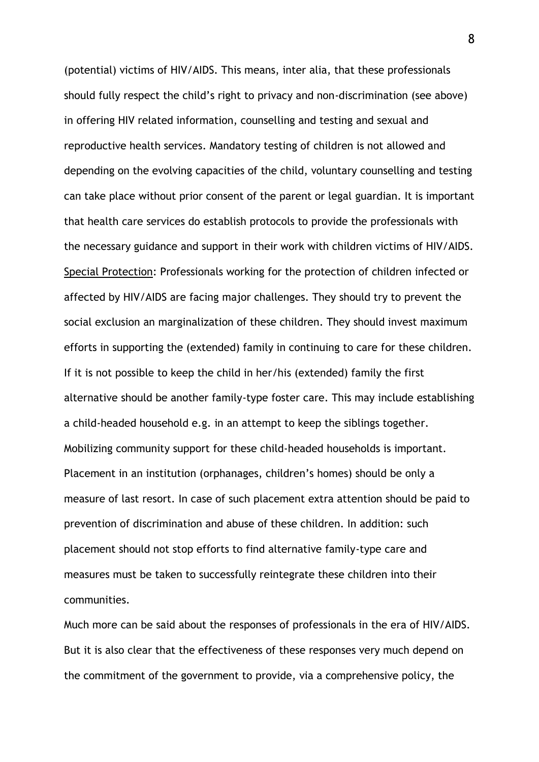(potential) victims of HIV/AIDS. This means, inter alia, that these professionals should fully respect the child's right to privacy and non-discrimination (see above) in offering HIV related information, counselling and testing and sexual and reproductive health services. Mandatory testing of children is not allowed and depending on the evolving capacities of the child, voluntary counselling and testing can take place without prior consent of the parent or legal guardian. It is important that health care services do establish protocols to provide the professionals with the necessary guidance and support in their work with children victims of HIV/AIDS. Special Protection: Professionals working for the protection of children infected or affected by HIV/AIDS are facing major challenges. They should try to prevent the social exclusion an marginalization of these children. They should invest maximum efforts in supporting the (extended) family in continuing to care for these children. If it is not possible to keep the child in her/his (extended) family the first alternative should be another family-type foster care. This may include establishing a child-headed household e.g. in an attempt to keep the siblings together. Mobilizing community support for these child-headed households is important. Placement in an institution (orphanages, children's homes) should be only a measure of last resort. In case of such placement extra attention should be paid to prevention of discrimination and abuse of these children. In addition: such placement should not stop efforts to find alternative family-type care and measures must be taken to successfully reintegrate these children into their communities.

Much more can be said about the responses of professionals in the era of HIV/AIDS. But it is also clear that the effectiveness of these responses very much depend on the commitment of the government to provide, via a comprehensive policy, the